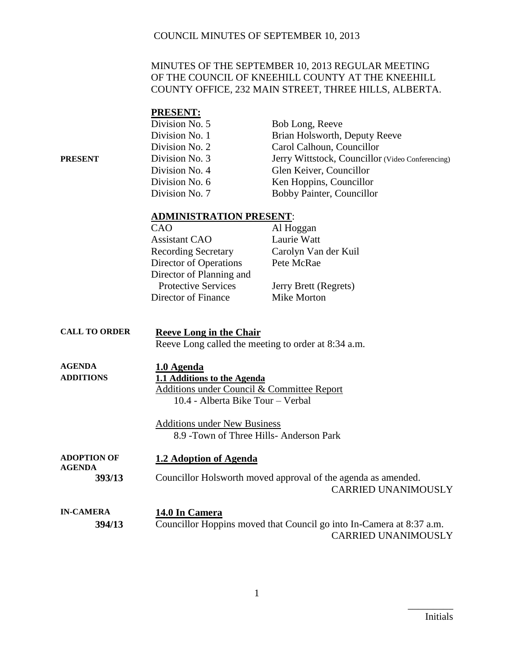#### MINUTES OF THE SEPTEMBER 10, 2013 REGULAR MEETING OF THE COUNCIL OF KNEEHILL COUNTY AT THE KNEEHILL COUNTY OFFICE, 232 MAIN STREET, THREE HILLS, ALBERTA.

|                                     | <b>PRESENT:</b>                                                                                                              |                                                                                                    |
|-------------------------------------|------------------------------------------------------------------------------------------------------------------------------|----------------------------------------------------------------------------------------------------|
|                                     | Division No. 5                                                                                                               | Bob Long, Reeve                                                                                    |
|                                     | Division No. 1                                                                                                               | Brian Holsworth, Deputy Reeve                                                                      |
|                                     | Division No. 2                                                                                                               | Carol Calhoun, Councillor                                                                          |
| <b>PRESENT</b>                      | Division No. 3                                                                                                               | Jerry Wittstock, Councillor (Video Conferencing)                                                   |
|                                     | Division No. 4                                                                                                               | Glen Keiver, Councillor                                                                            |
|                                     | Division No. 6                                                                                                               | Ken Hoppins, Councillor                                                                            |
|                                     | Division No. 7                                                                                                               | Bobby Painter, Councillor                                                                          |
|                                     | <b>ADMINISTRATION PRESENT:</b>                                                                                               |                                                                                                    |
|                                     | CAO<br>Al Hoggan                                                                                                             |                                                                                                    |
|                                     | <b>Assistant CAO</b>                                                                                                         | Laurie Watt                                                                                        |
|                                     | <b>Recording Secretary</b>                                                                                                   | Carolyn Van der Kuil                                                                               |
|                                     | Director of Operations                                                                                                       | Pete McRae                                                                                         |
|                                     | Director of Planning and                                                                                                     |                                                                                                    |
|                                     | <b>Protective Services</b>                                                                                                   | Jerry Brett (Regrets)                                                                              |
|                                     | Director of Finance                                                                                                          | Mike Morton                                                                                        |
|                                     |                                                                                                                              |                                                                                                    |
| <b>CALL TO ORDER</b>                | <b>Reeve Long in the Chair</b><br>Reeve Long called the meeting to order at 8:34 a.m.                                        |                                                                                                    |
| <b>AGENDA</b><br><b>ADDITIONS</b>   | 1.0 Agenda<br>1.1 Additions to the Agenda<br>Additions under Council & Committee Report<br>10.4 - Alberta Bike Tour - Verbal |                                                                                                    |
|                                     | <b>Additions under New Business</b><br>8.9 - Town of Three Hills- Anderson Park                                              |                                                                                                    |
| <b>ADOPTION OF</b><br><b>AGENDA</b> | 1.2 Adoption of Agenda                                                                                                       |                                                                                                    |
| 393/13                              |                                                                                                                              | Councillor Holsworth moved approval of the agenda as amended.<br><b>CARRIED UNANIMOUSLY</b>        |
| <b>IN-CAMERA</b><br>394/13          | 14.0 In Camera                                                                                                               | Councillor Hoppins moved that Council go into In-Camera at 8:37 a.m.<br><b>CARRIED UNANIMOUSLY</b> |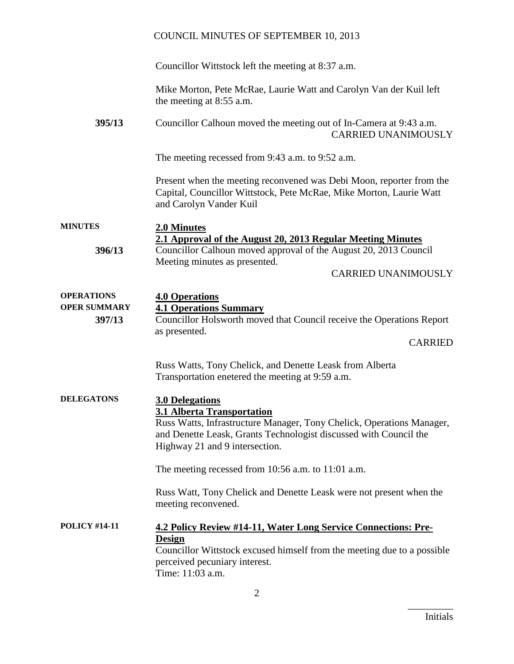Councillor Wittstock left the meeting at 8:37 a.m.

Mike Morton, Pete McRae, Laurie Watt and Carolyn Van der Kuil left the meeting at 8:55 a.m.

**395/13** Councillor Calhoun moved the meeting out of In-Camera at 9:43 a.m. CARRIED UNANIMOUSLY

The meeting recessed from 9:43 a.m. to 9:52 a.m.

Present when the meeting reconvened was Debi Moon, reporter from the Capital, Councillor Wittstock, Pete McRae, Mike Morton, Laurie Watt and Carolyn Vander Kuil

| <b>MINUTES</b> | 2.0 Minutes                                                      |
|----------------|------------------------------------------------------------------|
|                | 2.1 Approval of the August 20, 2013 Regular Meeting Minutes      |
| 396/13         | Councillor Calhoun moved approval of the August 20, 2013 Council |
|                | Meeting minutes as presented.                                    |

CARRIED UNANIMOUSLY

| <b>4.0 Operations</b>                                                 |
|-----------------------------------------------------------------------|
| <b>4.1 Operations Summary</b>                                         |
| Councillor Holsworth moved that Council receive the Operations Report |
| as presented.                                                         |
| <b>CARRIED</b>                                                        |
| Russ Watts, Tony Chelick, and Denette Leask from Alberta              |
| Transportation enetered the meeting at 9:59 a.m.                      |
| <b>3.0 Delegations</b>                                                |
| <b>3.1 Alberta Transportation</b>                                     |
| Russ Watts, Infrastructure Manager, Tony Chelick, Operations Manager, |
| and Denette Leask, Grants Technologist discussed with Council the     |
| Highway 21 and 9 intersection.                                        |
| The meeting recessed from $10:56$ a.m. to $11:01$ a.m.                |
| Russ Watt, Tony Chelick and Denette Leask were not present when the   |
| meeting reconvened.                                                   |
| <b>4.2 Policy Review #14-11, Water Long Service Connections: Pre-</b> |
|                                                                       |

**Design** Councillor Wittstock excused himself from the meeting due to a possible perceived pecuniary interest. Time: 11:03 a.m.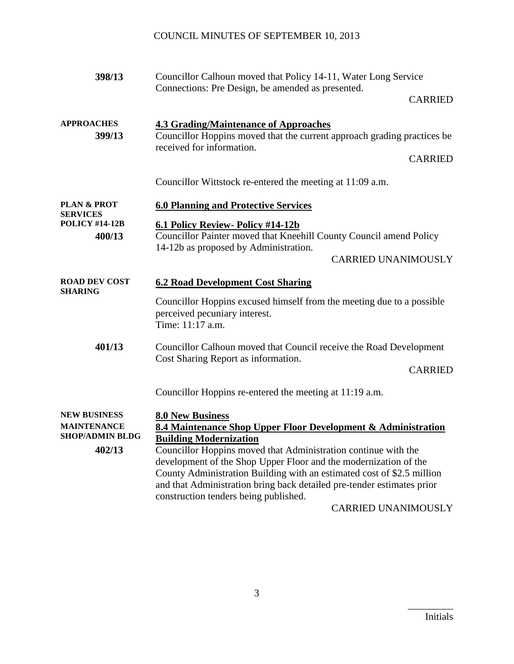| 398/13                                                                        | Councillor Calhoun moved that Policy 14-11, Water Long Service<br>Connections: Pre Design, be amended as presented.                                                                                                                                           |
|-------------------------------------------------------------------------------|---------------------------------------------------------------------------------------------------------------------------------------------------------------------------------------------------------------------------------------------------------------|
|                                                                               | <b>CARRIED</b>                                                                                                                                                                                                                                                |
| <b>APPROACHES</b><br>399/13                                                   | <b>4.3 Grading/Maintenance of Approaches</b><br>Councillor Hoppins moved that the current approach grading practices be<br>received for information.                                                                                                          |
|                                                                               | <b>CARRIED</b>                                                                                                                                                                                                                                                |
|                                                                               | Councillor Wittstock re-entered the meeting at 11:09 a.m.                                                                                                                                                                                                     |
| <b>PLAN &amp; PROT</b><br><b>SERVICES</b>                                     | <b>6.0 Planning and Protective Services</b>                                                                                                                                                                                                                   |
| <b>POLICY #14-12B</b><br>400/13                                               | 6.1 Policy Review- Policy #14-12b<br>Councillor Painter moved that Kneehill County Council amend Policy<br>14-12b as proposed by Administration.<br><b>CARRIED UNANIMOUSLY</b>                                                                                |
| <b>ROAD DEV COST</b><br><b>SHARING</b>                                        | <b>6.2 Road Development Cost Sharing</b>                                                                                                                                                                                                                      |
|                                                                               | Councillor Hoppins excused himself from the meeting due to a possible<br>perceived pecuniary interest.<br>Time: 11:17 a.m.                                                                                                                                    |
| 401/13                                                                        | Councillor Calhoun moved that Council receive the Road Development<br>Cost Sharing Report as information.                                                                                                                                                     |
|                                                                               | <b>CARRIED</b>                                                                                                                                                                                                                                                |
|                                                                               | Councillor Hoppins re-entered the meeting at 11:19 a.m.                                                                                                                                                                                                       |
| <b>NEW BUSINESS</b><br><b>MAINTENANCE</b><br><b>SHOP/ADMIN BLDG</b><br>402/13 | <b>8.0 New Business</b><br>8.4 Maintenance Shop Upper Floor Development & Administration<br><b>Building Modernization</b><br>Councillor Hoppins moved that Administration continue with the                                                                   |
|                                                                               | development of the Shop Upper Floor and the modernization of the<br>County Administration Building with an estimated cost of \$2.5 million<br>and that Administration bring back detailed pre-tender estimates prior<br>construction tenders being published. |
|                                                                               | <b>CARRIED UNANIMOUSLY</b>                                                                                                                                                                                                                                    |

3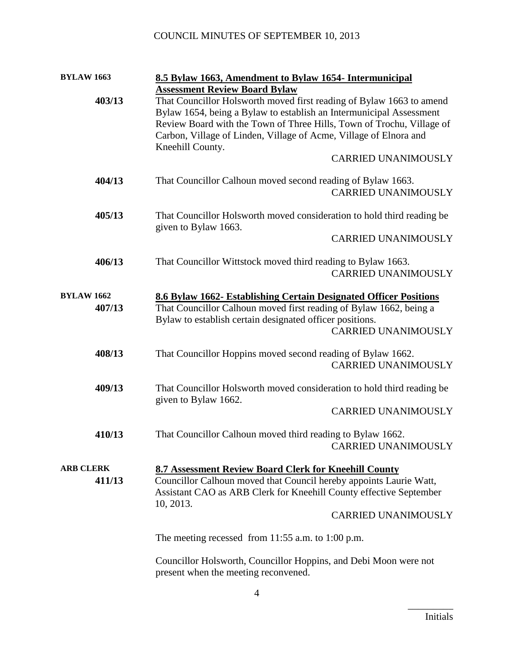| <b>BYLAW 1663</b>                                        |                                                                                        | 8.5 Bylaw 1663, Amendment to Bylaw 1654- Intermunicipal                |  |
|----------------------------------------------------------|----------------------------------------------------------------------------------------|------------------------------------------------------------------------|--|
|                                                          |                                                                                        | <b>Assessment Review Board Bylaw</b>                                   |  |
| 403/13                                                   |                                                                                        | That Councillor Holsworth moved first reading of Bylaw 1663 to amend   |  |
|                                                          |                                                                                        | Bylaw 1654, being a Bylaw to establish an Intermunicipal Assessment    |  |
|                                                          |                                                                                        | Review Board with the Town of Three Hills, Town of Trochu, Village of  |  |
|                                                          |                                                                                        | Carbon, Village of Linden, Village of Acme, Village of Elnora and      |  |
|                                                          |                                                                                        | Kneehill County.                                                       |  |
|                                                          |                                                                                        | <b>CARRIED UNANIMOUSLY</b>                                             |  |
|                                                          |                                                                                        |                                                                        |  |
|                                                          | 404/13                                                                                 | That Councillor Calhoun moved second reading of Bylaw 1663.            |  |
|                                                          |                                                                                        | <b>CARRIED UNANIMOUSLY</b>                                             |  |
|                                                          |                                                                                        |                                                                        |  |
|                                                          |                                                                                        |                                                                        |  |
|                                                          | 405/13                                                                                 | That Councillor Holsworth moved consideration to hold third reading be |  |
|                                                          |                                                                                        | given to Bylaw 1663.                                                   |  |
|                                                          |                                                                                        | <b>CARRIED UNANIMOUSLY</b>                                             |  |
|                                                          |                                                                                        |                                                                        |  |
|                                                          | 406/13                                                                                 | That Councillor Wittstock moved third reading to Bylaw 1663.           |  |
|                                                          |                                                                                        | <b>CARRIED UNANIMOUSLY</b>                                             |  |
|                                                          |                                                                                        |                                                                        |  |
|                                                          | <b>BYLAW 1662</b><br>8.6 Bylaw 1662- Establishing Certain Designated Officer Positions |                                                                        |  |
|                                                          | 407/13                                                                                 | That Councillor Calhoun moved first reading of Bylaw 1662, being a     |  |
| Bylaw to establish certain designated officer positions. |                                                                                        |                                                                        |  |
|                                                          |                                                                                        | <b>CARRIED UNANIMOUSLY</b>                                             |  |
|                                                          |                                                                                        |                                                                        |  |
|                                                          | 408/13                                                                                 | That Councillor Hoppins moved second reading of Bylaw 1662.            |  |
|                                                          |                                                                                        | <b>CARRIED UNANIMOUSLY</b>                                             |  |
|                                                          |                                                                                        |                                                                        |  |
| 409/13                                                   |                                                                                        | That Councillor Holsworth moved consideration to hold third reading be |  |
|                                                          |                                                                                        | given to Bylaw 1662.                                                   |  |
|                                                          |                                                                                        | <b>CARRIED UNANIMOUSLY</b>                                             |  |
|                                                          |                                                                                        |                                                                        |  |
|                                                          | 410/13                                                                                 | That Councillor Calhoun moved third reading to Bylaw 1662.             |  |
|                                                          |                                                                                        | <b>CARRIED UNANIMOUSLY</b>                                             |  |
|                                                          |                                                                                        |                                                                        |  |
| <b>ARB CLERK</b>                                         |                                                                                        | 8.7 Assessment Review Board Clerk for Kneehill County                  |  |
|                                                          |                                                                                        |                                                                        |  |
| 411/13                                                   |                                                                                        | Councillor Calhoun moved that Council hereby appoints Laurie Watt,     |  |
|                                                          |                                                                                        | Assistant CAO as ARB Clerk for Kneehill County effective September     |  |
|                                                          |                                                                                        | 10, 2013.                                                              |  |
|                                                          |                                                                                        | <b>CARRIED UNANIMOUSLY</b>                                             |  |
|                                                          |                                                                                        |                                                                        |  |
|                                                          | The meeting recessed from $11:55$ a.m. to $1:00$ p.m.                                  |                                                                        |  |
|                                                          |                                                                                        |                                                                        |  |
|                                                          |                                                                                        | Councillor Holsworth, Councillor Hoppins, and Debi Moon were not       |  |
|                                                          |                                                                                        | present when the meeting reconvened.                                   |  |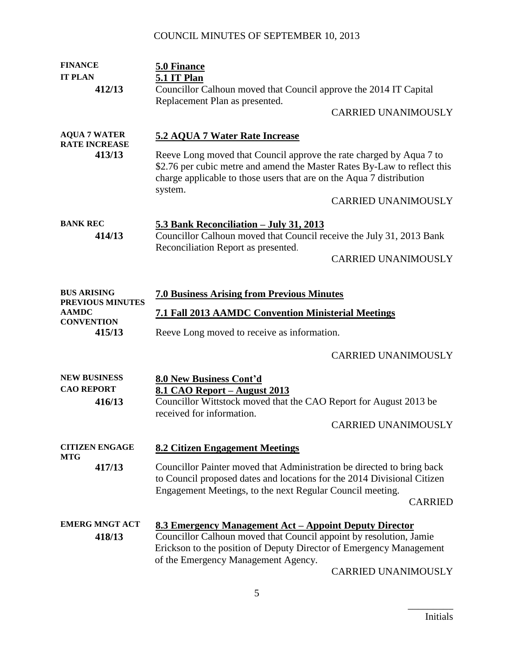| <b>FINANCE</b>                              | 5.0 Finance                                                                                                                                                                                                                                       |                            |  |
|---------------------------------------------|---------------------------------------------------------------------------------------------------------------------------------------------------------------------------------------------------------------------------------------------------|----------------------------|--|
| <b>IT PLAN</b>                              | 5.1 IT Plan                                                                                                                                                                                                                                       |                            |  |
| 412/13                                      | Councillor Calhoun moved that Council approve the 2014 IT Capital                                                                                                                                                                                 |                            |  |
|                                             | Replacement Plan as presented.                                                                                                                                                                                                                    | <b>CARRIED UNANIMOUSLY</b> |  |
| <b>AQUA 7 WATER</b><br><b>RATE INCREASE</b> | 5.2 AQUA 7 Water Rate Increase                                                                                                                                                                                                                    |                            |  |
| 413/13                                      | Reeve Long moved that Council approve the rate charged by Aqua 7 to<br>\$2.76 per cubic metre and amend the Master Rates By-Law to reflect this<br>charge applicable to those users that are on the Aqua 7 distribution                           |                            |  |
|                                             | system.                                                                                                                                                                                                                                           | <b>CARRIED UNANIMOUSLY</b> |  |
| <b>BANK REC</b><br>414/13                   | 5.3 Bank Reconciliation - July 31, 2013<br>Councillor Calhoun moved that Council receive the July 31, 2013 Bank<br>Reconciliation Report as presented.                                                                                            |                            |  |
|                                             |                                                                                                                                                                                                                                                   | <b>CARRIED UNANIMOUSLY</b> |  |
| <b>BUS ARISING</b>                          | <b>7.0 Business Arising from Previous Minutes</b>                                                                                                                                                                                                 |                            |  |
| PREVIOUS MINUTES                            |                                                                                                                                                                                                                                                   |                            |  |
| <b>AAMDC</b><br><b>CONVENTION</b>           | <b>7.1 Fall 2013 AAMDC Convention Ministerial Meetings</b>                                                                                                                                                                                        |                            |  |
| 415/13                                      | Reeve Long moved to receive as information.                                                                                                                                                                                                       |                            |  |
|                                             |                                                                                                                                                                                                                                                   | <b>CARRIED UNANIMOUSLY</b> |  |
| <b>NEW BUSINESS</b>                         | <b>8.0 New Business Cont'd</b>                                                                                                                                                                                                                    |                            |  |
| <b>CAO REPORT</b><br>416/13                 | 8.1 CAO Report – August 2013<br>Councillor Wittstock moved that the CAO Report for August 2013 be<br>received for information.                                                                                                                    |                            |  |
|                                             |                                                                                                                                                                                                                                                   | <b>CARRIED UNANIMOUSLY</b> |  |
| <b>CITIZEN ENGAGE</b><br><b>MTG</b>         | <b>8.2 Citizen Engagement Meetings</b>                                                                                                                                                                                                            |                            |  |
| 417/13                                      | Councillor Painter moved that Administration be directed to bring back<br>to Council proposed dates and locations for the 2014 Divisional Citizen<br>Engagement Meetings, to the next Regular Council meeting.                                    | <b>CARRIED</b>             |  |
| <b>EMERG MNGT ACT</b><br>418/13             | <u>8.3 Emergency Management Act – Appoint Deputy Director</u><br>Councillor Calhoun moved that Council appoint by resolution, Jamie<br>Erickson to the position of Deputy Director of Emergency Management<br>of the Emergency Management Agency. | <b>CARRIED UNANIMOUSLY</b> |  |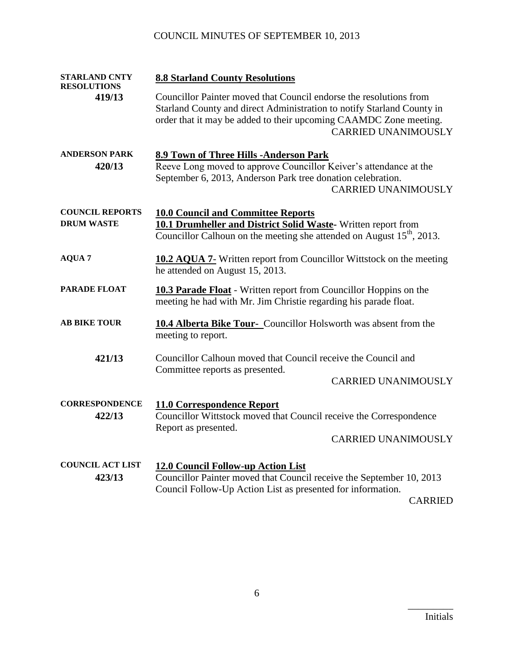| <b>STARLAND CNTY</b><br><b>RESOLUTIONS</b> | <b>8.8 Starland County Resolutions</b>                                                                                                                                                                                                          |  |
|--------------------------------------------|-------------------------------------------------------------------------------------------------------------------------------------------------------------------------------------------------------------------------------------------------|--|
| 419/13                                     | Councillor Painter moved that Council endorse the resolutions from<br>Starland County and direct Administration to notify Starland County in<br>order that it may be added to their upcoming CAAMDC Zone meeting.<br><b>CARRIED UNANIMOUSLY</b> |  |
| <b>ANDERSON PARK</b>                       | 8.9 Town of Three Hills -Anderson Park                                                                                                                                                                                                          |  |
| 420/13                                     | Reeve Long moved to approve Councillor Keiver's attendance at the<br>September 6, 2013, Anderson Park tree donation celebration.<br><b>CARRIED UNANIMOUSLY</b>                                                                                  |  |
| <b>COUNCIL REPORTS</b>                     | <b>10.0 Council and Committee Reports</b>                                                                                                                                                                                                       |  |
| <b>DRUM WASTE</b>                          | 10.1 Drumheller and District Solid Waste-Written report from<br>Councillor Calhoun on the meeting she attended on August 15 <sup>th</sup> , 2013.                                                                                               |  |
| <b>AQUA 7</b>                              | <b>10.2 AQUA 7-</b> Written report from Councillor Wittstock on the meeting<br>he attended on August 15, 2013.                                                                                                                                  |  |
| <b>PARADE FLOAT</b>                        | 10.3 Parade Float - Written report from Councillor Hoppins on the<br>meeting he had with Mr. Jim Christie regarding his parade float.                                                                                                           |  |
| <b>AB BIKE TOUR</b>                        | <b>10.4 Alberta Bike Tour-</b> Councillor Holsworth was absent from the<br>meeting to report.                                                                                                                                                   |  |
| 421/13                                     | Councillor Calhoun moved that Council receive the Council and<br>Committee reports as presented.                                                                                                                                                |  |
|                                            | <b>CARRIED UNANIMOUSLY</b>                                                                                                                                                                                                                      |  |
| <b>CORRESPONDENCE</b><br>422/13            | 11.0 Correspondence Report<br>Councillor Wittstock moved that Council receive the Correspondence<br>Report as presented.                                                                                                                        |  |
|                                            | <b>CARRIED UNANIMOUSLY</b>                                                                                                                                                                                                                      |  |
| <b>COUNCIL ACT LIST</b>                    | <b>12.0 Council Follow-up Action List</b>                                                                                                                                                                                                       |  |
| 423/13                                     | Councillor Painter moved that Council receive the September 10, 2013<br>Council Follow-Up Action List as presented for information.                                                                                                             |  |
|                                            | <b>CARRIED</b>                                                                                                                                                                                                                                  |  |